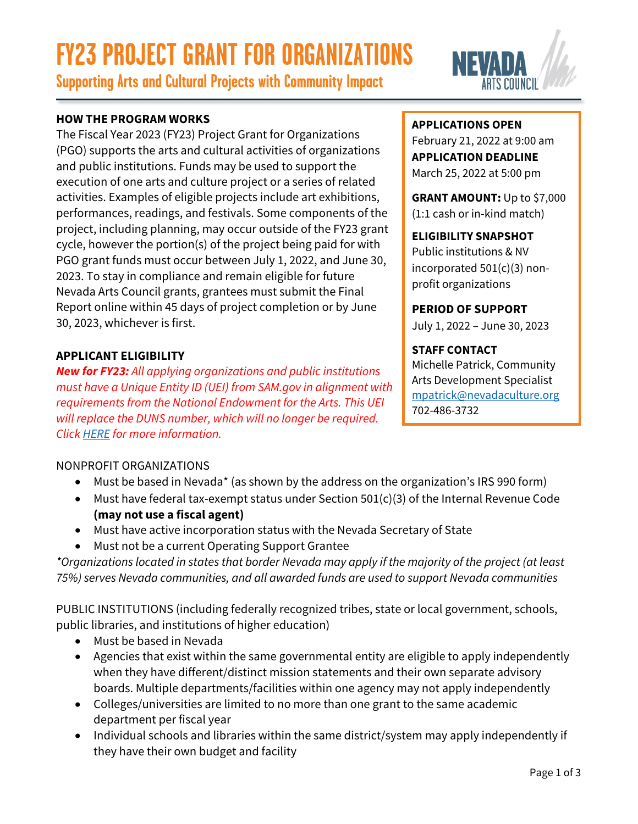# **FY23 PROJECT GRANT FOR ORGANIZATIONS**

**Supporting Arts and Cultural Projects with Community Impact**



# **HOW THE PROGRAM WORKS**

The Fiscal Year 2023 (FY23) Project Grant for Organizations (PGO) supports the arts and cultural activities of organizations and public institutions. Funds may be used to support the execution of one arts and culture project or a series of related activities. Examples of eligible projects include art exhibitions, performances, readings, and festivals. Some components of the project, including planning, may occur outside of the FY23 grant cycle, however the portion(s) of the project being paid for with PGO grant funds must occur between July 1, 2022, and June 30, 2023. To stay in compliance and remain eligible for future Nevada Arts Council grants, grantees must submit the Final Report online within 45 days of project completion or by June 30, 2023, whichever is first.

# **APPLICANT ELIGIBILITY**

*New for FY23: All applying organizations and public institutions must have a Unique Entity ID (UEI) from SAM.gov in alignment with requirements from the National Endowment for the Arts. This UEI will replace the DUNS number, which will no longer be required. Click [HERE](https://www.nvartscouncil.org/grants/resources-for-grant-applicants/) for more information.*

#### **APPLICATIONS OPEN**

February 21, 2022 at 9:00 am **APPLICATION DEADLINE** March 25, 2022 at 5:00 pm

**GRANT AMOUNT:** Up to \$7,000 (1:1 cash or in-kind match)

# **ELIGIBILITY SNAPSHOT**

Public institutions & NV incorporated 501(c)(3) nonprofit organizations

# **PERIOD OF SUPPORT**

July 1, 2022 – June 30, 2023

# **STAFF CONTACT**

Michelle Patrick, Community Arts Development Specialist [mpatrick@nevadaculture.org](mailto: mpatrick@nevadaculture.org) 702-486-3732

# NONPROFIT ORGANIZATIONS

- Must be based in Nevada\* (as shown by the address on the organization's IRS 990 form)
- Must have federal tax-exempt status under Section 501(c)(3) of the Internal Revenue Code **(may not use a fiscal agent)**
- Must have active incorporation status with the Nevada Secretary of State
- Must not be a current Operating Support Grantee

*\*Organizations located in states that border Nevada may apply if the majority of the project (at least 75%) serves Nevada communities, and all awarded funds are used to support Nevada communities*

PUBLIC INSTITUTIONS (including federally recognized tribes, state or local government, schools, public libraries, and institutions of higher education)

- Must be based in Nevada
- Agencies that exist within the same governmental entity are eligible to apply independently when they have different/distinct mission statements and their own separate advisory boards. Multiple departments/facilities within one agency may not apply independently
- Colleges/universities are limited to no more than one grant to the same academic department per fiscal year
- Individual schools and libraries within the same district/system may apply independently if they have their own budget and facility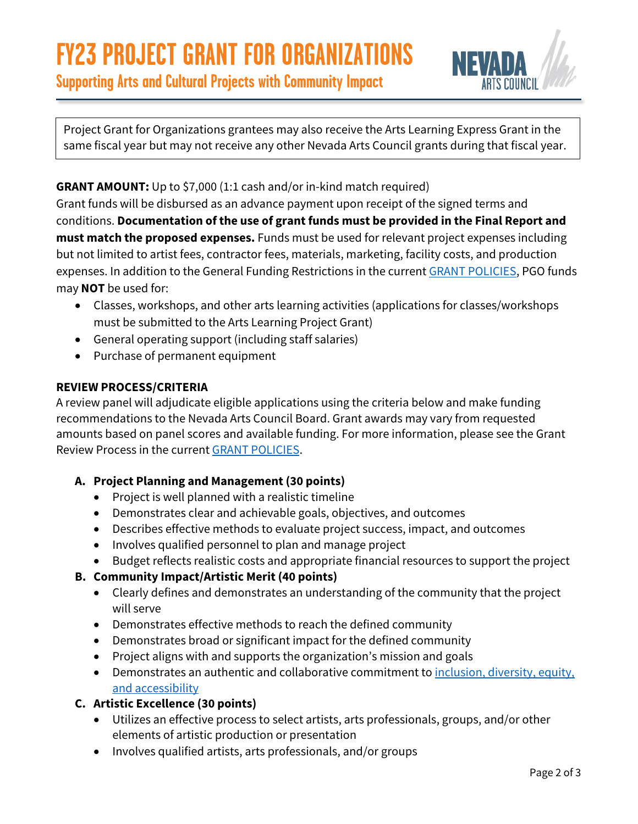

Project Grant for Organizations grantees may also receive the Arts Learning Express Grant in the

**GRANT AMOUNT:** Up to \$7,000 (1:1 cash and/or in-kind match required)

Grant funds will be disbursed as an advance payment upon receipt of the signed terms and conditions. **Documentation of the use of grant funds must be provided in the Final Report and must match the proposed expenses.** Funds must be used for relevant project expenses including but not limited to artist fees, contractor fees, materials, marketing, facility costs, and production expenses. In addition to the General Funding Restrictions in the current **GRANT POLICIES**, PGO funds may **NOT** be used for:

same fiscal year but may not receive any other Nevada Arts Council grants during that fiscal year.

- Classes, workshops, and other arts learning activities (applications for classes/workshops must be submitted to the Arts Learning Project Grant)
- General operating support (including staff salaries)
- Purchase of permanent equipment

# **REVIEW PROCESS/CRITERIA**

A review panel will adjudicate eligible applications using the criteria below and make funding recommendations to the Nevada Arts Council Board. Grant awards may vary from requested amounts based on panel scores and available funding. For more information, please see the Grant Review Process in the current [GRANT POLICIES.](https://www.nvartscouncil.org/wp-content/uploads/FY23-NAC-GRANT-POLICIES-FINAL.pdf)

# **A. Project Planning and Management (30 points)**

- Project is well planned with a realistic timeline
- Demonstrates clear and achievable goals, objectives, and outcomes
- Describes effective methods to evaluate project success, impact, and outcomes
- Involves qualified personnel to plan and manage project
- Budget reflects realistic costs and appropriate financial resources to support the project

# **B. Community Impact/Artistic Merit (40 points)**

- Clearly defines and demonstrates an understanding of the community that the project will serve
- Demonstrates effective methods to reach the defined community
- Demonstrates broad or significant impact for the defined community
- Project aligns with and supports the organization's mission and goals
- Demonstrates an authentic and collaborative commitment to [inclusion, diversity, equity,](https://www.nvartscouncil.org/programs/community-arts-development/ideas/)  [and accessibility](https://www.nvartscouncil.org/programs/community-arts-development/ideas/)

# **C. Artistic Excellence (30 points)**

- Utilizes an effective process to select artists, arts professionals, groups, and/or other elements of artistic production or presentation
- Involves qualified artists, arts professionals, and/or groups